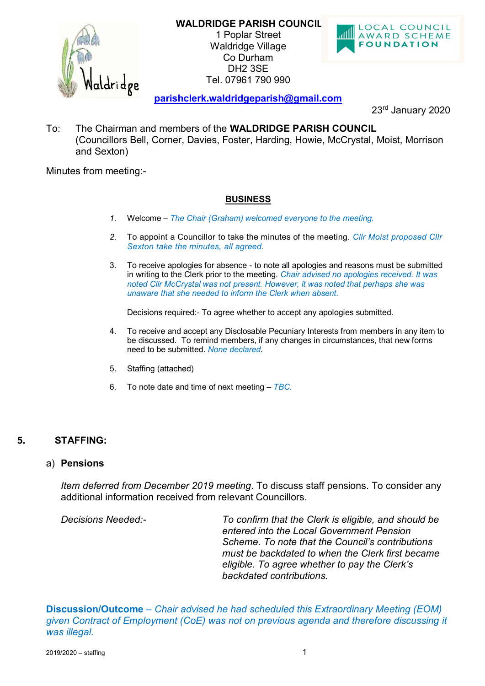**WALDRIDGE PARISH COUNCIL**



1 Poplar Street Waldridge Village Co Durham DH2 3SE Tel. 07961 790 990



**[parishclerk.waldridgeparish@gmail.com](mailto:waldridge.parish@gmail.com)**

23rd January 2020

To: The Chairman and members of the **WALDRIDGE PARISH COUNCIL** (Councillors Bell, Corner, Davies, Foster, Harding, Howie, McCrystal, Moist, Morrison and Sexton)

Minutes from meeting:-

## **BUSINESS**

- *1.* Welcome *The Chair (Graham) welcomed everyone to the meeting.*
- *2.* To appoint a Councillor to take the minutes of the meeting. *Cllr Moist proposed Cllr Sexton take the minutes, all agreed.*
- 3. To receive apologies for absence to note all apologies and reasons must be submitted in writing to the Clerk prior to the meeting. *Chair advised no apologies received. It was noted Cllr McCrystal was not present. However, it was noted that perhaps she was unaware that she needed to inform the Clerk when absent.*

Decisions required:- To agree whether to accept any apologies submitted.

- 4. To receive and accept any Disclosable Pecuniary Interests from members in any item to be discussed. To remind members, if any changes in circumstances, that new forms need to be submitted. *None declared*.
- 5. Staffing (attached)
- 6. To note date and time of next meeting *TBC.*

# **5. STAFFING:**

### a) **Pensions**

*Item deferred from December 2019 meeting*. To discuss staff pensions. To consider any additional information received from relevant Councillors.

*Decisions Needed:- To confirm that the Clerk is eligible, and should be entered into the Local Government Pension Scheme. To note that the Council's contributions must be backdated to when the Clerk first became eligible. To agree whether to pay the Clerk's backdated contributions.*

**Discussion/Outcome** – *Chair advised he had scheduled this Extraordinary Meeting (EOM) given Contract of Employment (CoE) was not on previous agenda and therefore discussing it was illegal.*